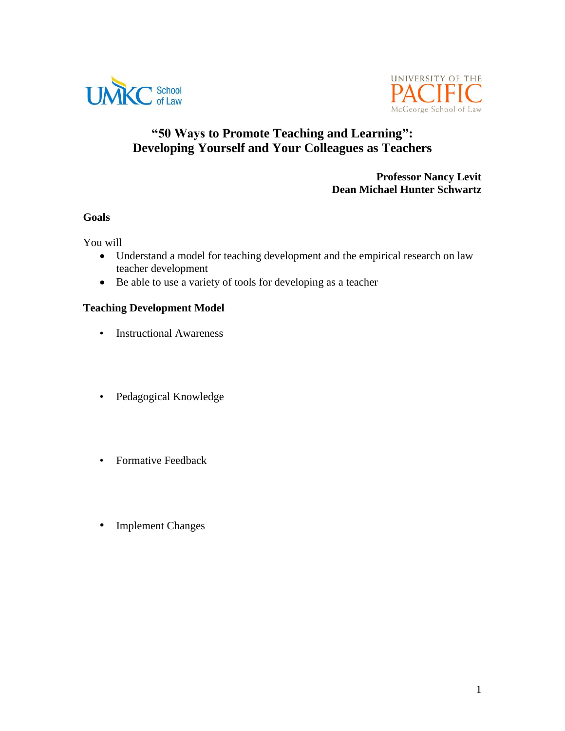



# **"50 Ways to Promote Teaching and Learning": Developing Yourself and Your Colleagues as Teachers**

#### **Professor Nancy Levit Dean Michael Hunter Schwartz**

#### **Goals**

You will

- Understand a model for teaching development and the empirical research on law teacher development
- Be able to use a variety of tools for developing as a teacher

## **Teaching Development Model**

- Instructional Awareness
- Pedagogical Knowledge
- Formative Feedback
- Implement Changes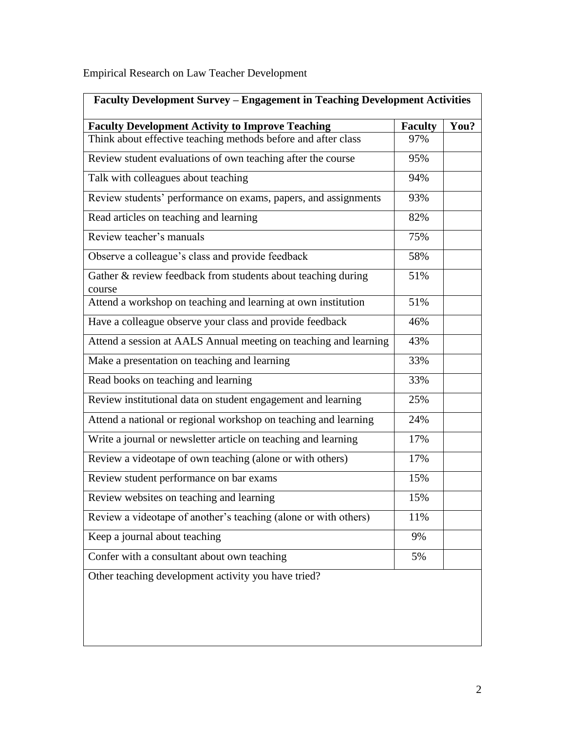Empirical Research on Law Teacher Development

| Faculty Development Survey - Engagement in Teaching Development Activities |                |      |  |
|----------------------------------------------------------------------------|----------------|------|--|
| <b>Faculty Development Activity to Improve Teaching</b>                    | <b>Faculty</b> | You? |  |
| Think about effective teaching methods before and after class              | 97%            |      |  |
| Review student evaluations of own teaching after the course                | 95%            |      |  |
| Talk with colleagues about teaching                                        | 94%            |      |  |
| Review students' performance on exams, papers, and assignments             | 93%            |      |  |
| Read articles on teaching and learning                                     | 82%            |      |  |
| Review teacher's manuals                                                   | 75%            |      |  |
| Observe a colleague's class and provide feedback                           | 58%            |      |  |
| Gather & review feedback from students about teaching during<br>course     | 51%            |      |  |
| Attend a workshop on teaching and learning at own institution              | 51%            |      |  |
| Have a colleague observe your class and provide feedback                   | 46%            |      |  |
| Attend a session at AALS Annual meeting on teaching and learning           | 43%            |      |  |
| Make a presentation on teaching and learning                               | 33%            |      |  |
| Read books on teaching and learning                                        | 33%            |      |  |
| Review institutional data on student engagement and learning               | 25%            |      |  |
| Attend a national or regional workshop on teaching and learning            | 24%            |      |  |
| Write a journal or newsletter article on teaching and learning             | 17%            |      |  |
| Review a videotape of own teaching (alone or with others)                  | 17%            |      |  |
| Review student performance on bar exams                                    | 15%            |      |  |
| Review websites on teaching and learning                                   | 15%            |      |  |
| Review a videotape of another's teaching (alone or with others)            | 11%            |      |  |
| Keep a journal about teaching                                              | 9%             |      |  |
| Confer with a consultant about own teaching                                | 5%             |      |  |
| Other teaching development activity you have tried?                        |                |      |  |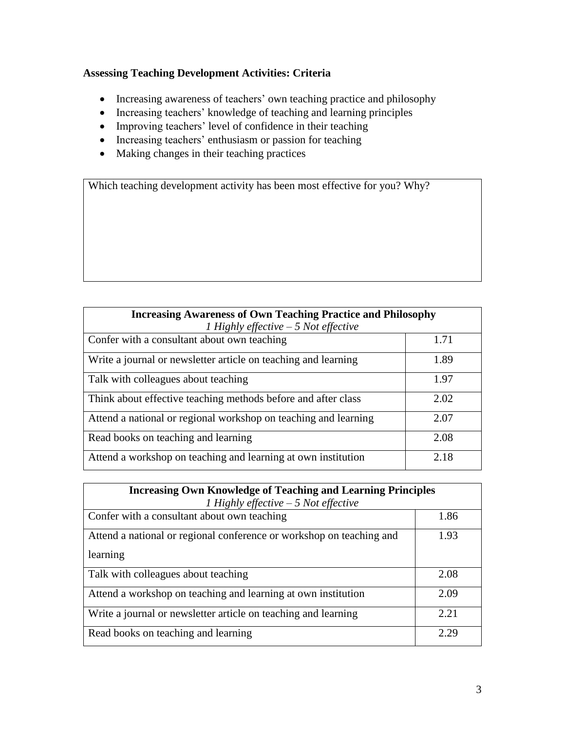# **Assessing Teaching Development Activities: Criteria**

- Increasing awareness of teachers' own teaching practice and philosophy
- Increasing teachers' knowledge of teaching and learning principles
- Improving teachers' level of confidence in their teaching
- Increasing teachers' enthusiasm or passion for teaching
- Making changes in their teaching practices

Which teaching development activity has been most effective for you? Why?

| <b>Increasing Awareness of Own Teaching Practice and Philosophy</b><br>1 Highly effective $-5$ Not effective |      |
|--------------------------------------------------------------------------------------------------------------|------|
| Confer with a consultant about own teaching                                                                  | 1.71 |
| Write a journal or newsletter article on teaching and learning                                               | 1.89 |
| Talk with colleagues about teaching                                                                          | 1.97 |
| Think about effective teaching methods before and after class                                                | 2.02 |
| Attend a national or regional workshop on teaching and learning                                              | 2.07 |
| Read books on teaching and learning                                                                          | 2.08 |
| Attend a workshop on teaching and learning at own institution                                                | 2.18 |

| <b>Increasing Own Knowledge of Teaching and Learning Principles</b><br>1 Highly effective $-5$ Not effective |      |  |
|--------------------------------------------------------------------------------------------------------------|------|--|
| Confer with a consultant about own teaching                                                                  | 1.86 |  |
| Attend a national or regional conference or workshop on teaching and                                         | 1.93 |  |
| learning                                                                                                     |      |  |
| Talk with colleagues about teaching                                                                          | 2.08 |  |
| Attend a workshop on teaching and learning at own institution                                                | 2.09 |  |
| Write a journal or newsletter article on teaching and learning                                               | 2.21 |  |
| Read books on teaching and learning                                                                          | 2.29 |  |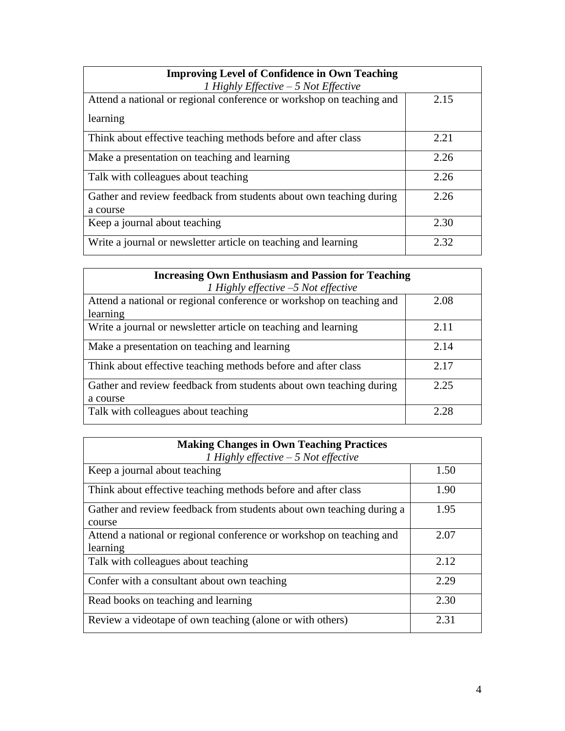| <b>Improving Level of Confidence in Own Teaching</b><br>1 Highly Effective $-5$ Not Effective |      |
|-----------------------------------------------------------------------------------------------|------|
| Attend a national or regional conference or workshop on teaching and                          | 2.15 |
| learning                                                                                      |      |
| Think about effective teaching methods before and after class                                 | 2.21 |
| Make a presentation on teaching and learning                                                  | 2.26 |
| Talk with colleagues about teaching                                                           | 2.26 |
| Gather and review feedback from students about own teaching during<br>a course                | 2.26 |
| Keep a journal about teaching                                                                 | 2.30 |
| Write a journal or newsletter article on teaching and learning                                | 2.32 |

| <b>Increasing Own Enthusiasm and Passion for Teaching</b>                      |      |  |
|--------------------------------------------------------------------------------|------|--|
| 1 Highly effective $-5$ Not effective                                          |      |  |
| Attend a national or regional conference or workshop on teaching and           | 2.08 |  |
| learning                                                                       |      |  |
| Write a journal or newsletter article on teaching and learning                 | 2.11 |  |
| Make a presentation on teaching and learning                                   | 2.14 |  |
| Think about effective teaching methods before and after class                  | 2.17 |  |
| Gather and review feedback from students about own teaching during<br>a course | 2.25 |  |
| Talk with colleagues about teaching                                            | 2.28 |  |

| <b>Making Changes in Own Teaching Practices</b><br>1 Highly effective $-5$ Not effective |      |
|------------------------------------------------------------------------------------------|------|
| Keep a journal about teaching                                                            | 1.50 |
| Think about effective teaching methods before and after class                            | 1.90 |
| Gather and review feedback from students about own teaching during a<br>course           | 1.95 |
| Attend a national or regional conference or workshop on teaching and<br>learning         | 2.07 |
| Talk with colleagues about teaching                                                      | 2.12 |
| Confer with a consultant about own teaching                                              | 2.29 |
| Read books on teaching and learning                                                      | 2.30 |
| Review a videotape of own teaching (alone or with others)                                | 2.31 |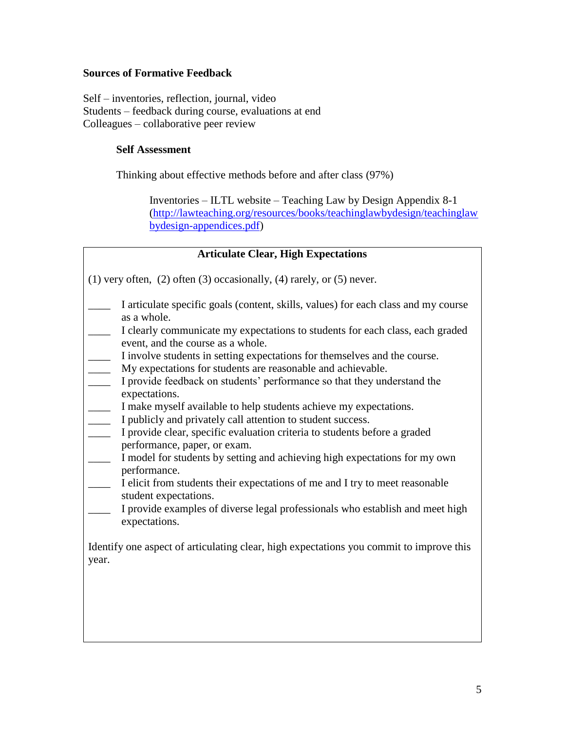## **Sources of Formative Feedback**

Self – inventories, reflection, journal, video Students – feedback during course, evaluations at end Colleagues – collaborative peer review

### **Self Assessment**

Thinking about effective methods before and after class (97%)

Inventories – ILTL website – Teaching Law by Design Appendix 8-1 [\(http://lawteaching.org/resources/books/teachinglawbydesign/teachinglaw](http://lawteaching.org/resources/books/teachinglawbydesign/teachinglawbydesign-appendices.pdf) [bydesign-appendices.pdf\)](http://lawteaching.org/resources/books/teachinglawbydesign/teachinglawbydesign-appendices.pdf)

| <b>Articulate Clear, High Expectations</b>                                                                                                                                         |  |  |  |
|------------------------------------------------------------------------------------------------------------------------------------------------------------------------------------|--|--|--|
| $(1)$ very often, $(2)$ often $(3)$ occasionally, $(4)$ rarely, or $(5)$ never.                                                                                                    |  |  |  |
| I articulate specific goals (content, skills, values) for each class and my course<br>as a whole.<br>I clearly communicate my expectations to students for each class, each graded |  |  |  |
| event, and the course as a whole.                                                                                                                                                  |  |  |  |
| I involve students in setting expectations for themselves and the course.<br>My expectations for students are reasonable and achievable.                                           |  |  |  |
| $\overline{\phantom{a}}$<br>I provide feedback on students' performance so that they understand the<br>expectations.                                                               |  |  |  |
| I make myself available to help students achieve my expectations.<br>$\overline{\phantom{a}}$                                                                                      |  |  |  |
| I publicly and privately call attention to student success.<br>$\overline{\phantom{a}}$                                                                                            |  |  |  |
| I provide clear, specific evaluation criteria to students before a graded<br>$\overline{\phantom{a}}$<br>performance, paper, or exam.                                              |  |  |  |
| I model for students by setting and achieving high expectations for my own<br>performance.                                                                                         |  |  |  |
| I elicit from students their expectations of me and I try to meet reasonable<br>$\overline{\phantom{a}}$<br>student expectations.                                                  |  |  |  |
| I provide examples of diverse legal professionals who establish and meet high<br>expectations.                                                                                     |  |  |  |
| Identify one aspect of articulating clear, high expectations you commit to improve this<br>year.                                                                                   |  |  |  |
|                                                                                                                                                                                    |  |  |  |
|                                                                                                                                                                                    |  |  |  |
|                                                                                                                                                                                    |  |  |  |
|                                                                                                                                                                                    |  |  |  |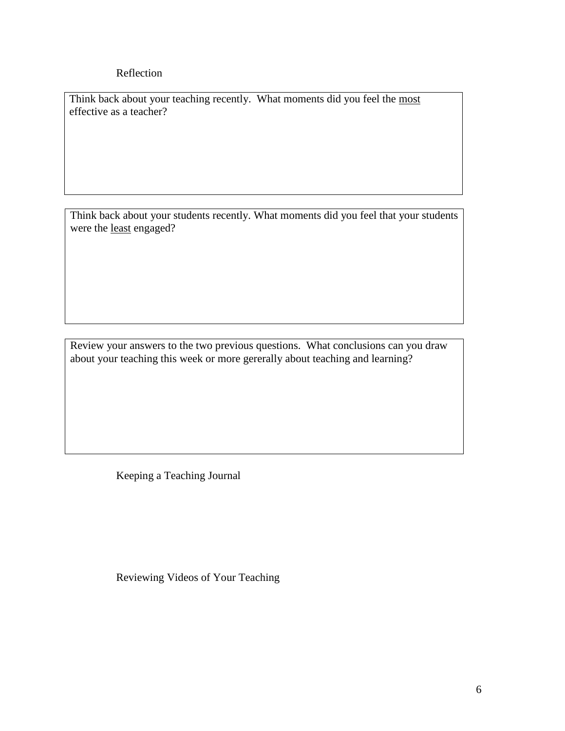## Reflection

Think back about your teaching recently. What moments did you feel the most effective as a teacher?

Think back about your students recently. What moments did you feel that your students were the least engaged?

Review your answers to the two previous questions. What conclusions can you draw about your teaching this week or more gererally about teaching and learning?

Keeping a Teaching Journal

Reviewing Videos of Your Teaching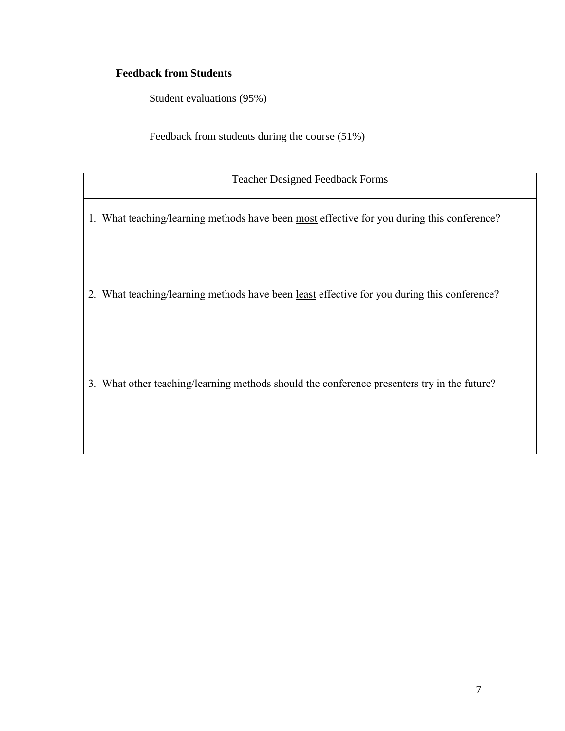# **Feedback from Students**

Student evaluations (95%)

Feedback from students during the course (51%)

Teacher Designed Feedback Forms

1. What teaching/learning methods have been most effective for you during this conference?

2. What teaching/learning methods have been least effective for you during this conference?

3. What other teaching/learning methods should the conference presenters try in the future?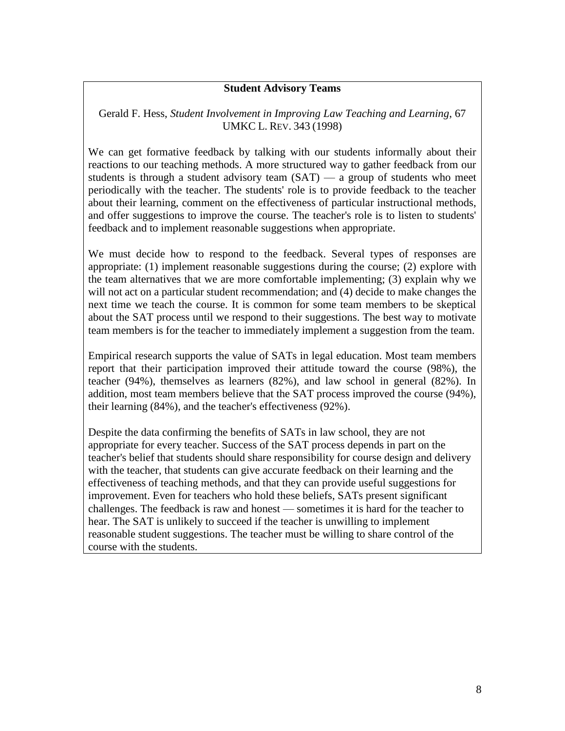#### **Student Advisory Teams**

Gerald F. Hess, *Student Involvement in Improving Law Teaching and Learning*, 67 UMKC L. REV. 343 (1998)

We can get formative feedback by talking with our students informally about their reactions to our teaching methods. A more structured way to gather feedback from our students is through a student advisory team  $(SAT)$  — a group of students who meet periodically with the teacher. The students' role is to provide feedback to the teacher about their learning, comment on the effectiveness of particular instructional methods, and offer suggestions to improve the course. The teacher's role is to listen to students' feedback and to implement reasonable suggestions when appropriate.

We must decide how to respond to the feedback. Several types of responses are appropriate: (1) implement reasonable suggestions during the course; (2) explore with the team alternatives that we are more comfortable implementing; (3) explain why we will not act on a particular student recommendation; and (4) decide to make changes the next time we teach the course. It is common for some team members to be skeptical about the SAT process until we respond to their suggestions. The best way to motivate team members is for the teacher to immediately implement a suggestion from the team.

Empirical research supports the value of SATs in legal education. Most team members report that their participation improved their attitude toward the course (98%), the teacher (94%), themselves as learners (82%), and law school in general (82%). In addition, most team members believe that the SAT process improved the course (94%), their learning (84%), and the teacher's effectiveness (92%).

Despite the data confirming the benefits of SATs in law school, they are not appropriate for every teacher. Success of the SAT process depends in part on the teacher's belief that students should share responsibility for course design and delivery with the teacher, that students can give accurate feedback on their learning and the effectiveness of teaching methods, and that they can provide useful suggestions for improvement. Even for teachers who hold these beliefs, SATs present significant challenges. The feedback is raw and honest — sometimes it is hard for the teacher to hear. The SAT is unlikely to succeed if the teacher is unwilling to implement reasonable student suggestions. The teacher must be willing to share control of the course with the students.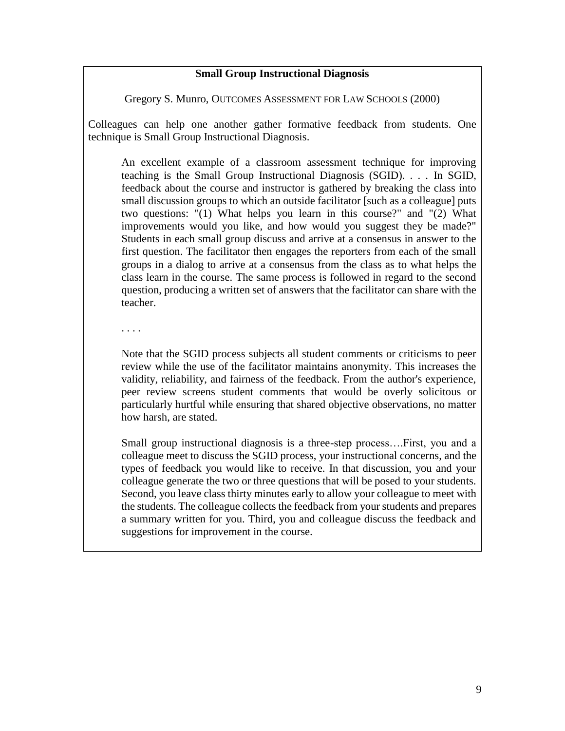#### **Small Group Instructional Diagnosis**

Gregory S. Munro, OUTCOMES ASSESSMENT FOR LAW SCHOOLS (2000)

Colleagues can help one another gather formative feedback from students. One technique is Small Group Instructional Diagnosis.

An excellent example of a classroom assessment technique for improving teaching is the Small Group Instructional Diagnosis (SGID). . . . In SGID, feedback about the course and instructor is gathered by breaking the class into small discussion groups to which an outside facilitator [such as a colleague] puts two questions: "(1) What helps you learn in this course?" and "(2) What improvements would you like, and how would you suggest they be made?" Students in each small group discuss and arrive at a consensus in answer to the first question. The facilitator then engages the reporters from each of the small groups in a dialog to arrive at a consensus from the class as to what helps the class learn in the course. The same process is followed in regard to the second question, producing a written set of answers that the facilitator can share with the teacher.

. . . .

Note that the SGID process subjects all student comments or criticisms to peer review while the use of the facilitator maintains anonymity. This increases the validity, reliability, and fairness of the feedback. From the author's experience, peer review screens student comments that would be overly solicitous or particularly hurtful while ensuring that shared objective observations, no matter how harsh, are stated.

Small group instructional diagnosis is a three-step process….First, you and a colleague meet to discuss the SGID process, your instructional concerns, and the types of feedback you would like to receive. In that discussion, you and your colleague generate the two or three questions that will be posed to your students. Second, you leave class thirty minutes early to allow your colleague to meet with the students. The colleague collects the feedback from your students and prepares a summary written for you. Third, you and colleague discuss the feedback and suggestions for improvement in the course.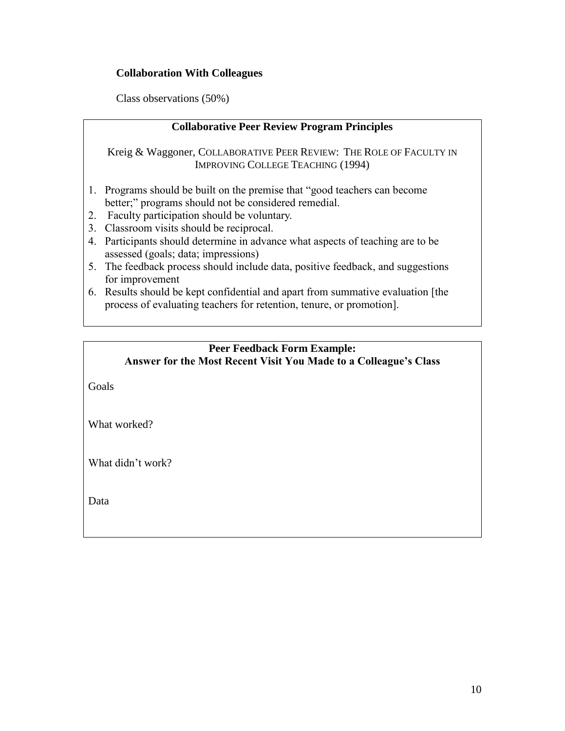## **Collaboration With Colleagues**

Class observations (50%)

### **Collaborative Peer Review Program Principles**

Kreig & Waggoner, COLLABORATIVE PEER REVIEW: THE ROLE OF FACULTY IN IMPROVING COLLEGE TEACHING (1994)

- 1. Programs should be built on the premise that "good teachers can become better;" programs should not be considered remedial.
- 2. Faculty participation should be voluntary.
- 3. Classroom visits should be reciprocal.
- 4. Participants should determine in advance what aspects of teaching are to be assessed (goals; data; impressions)
- 5. The feedback process should include data, positive feedback, and suggestions for improvement
- 6. Results should be kept confidential and apart from summative evaluation [the process of evaluating teachers for retention, tenure, or promotion].

#### **Peer Feedback Form Example: Answer for the Most Recent Visit You Made to a Colleague's Class**

Goals

What worked?

What didn't work?

Data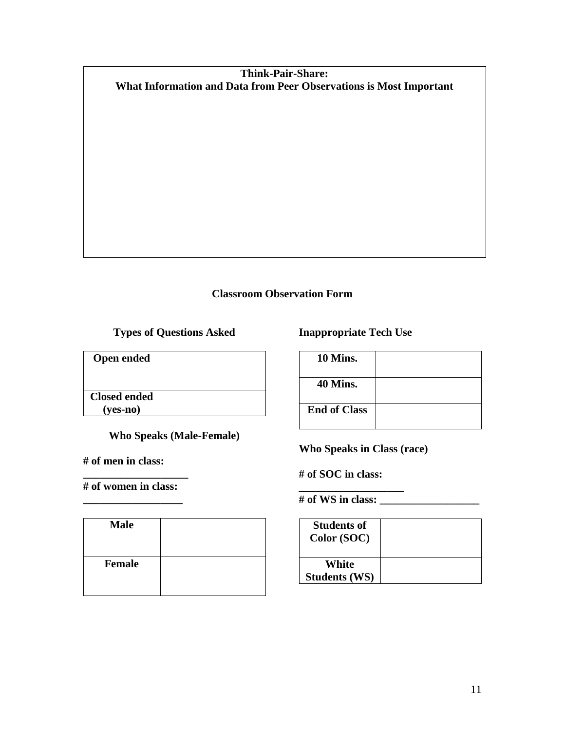## **Think-Pair-Share: What Information and Data from Peer Observations is Most Important**

## **Classroom Observation Form**

**Types of Questions Asked**

| <b>Open ended</b>               |  |
|---------------------------------|--|
| <b>Closed ended</b><br>(ves-no) |  |

**Who Speaks (Male-Female)**

**# of men in class:** 

**\_\_\_\_\_\_\_\_\_\_\_\_\_\_\_\_\_\_\_ # of women in class: \_\_\_\_\_\_\_\_\_\_\_\_\_\_\_\_\_\_**

| <b>Male</b>   |  |
|---------------|--|
| <b>Female</b> |  |

**Inappropriate Tech Use**

| 10 Mins.            |  |
|---------------------|--|
| <b>40 Mins.</b>     |  |
| <b>End of Class</b> |  |

**Who Speaks in Class (race)**

**# of SOC in class:** 

**# of WS in class: \_\_\_\_\_\_\_\_\_\_\_\_\_\_\_\_\_\_**

**\_\_\_\_\_\_\_\_\_\_\_\_\_\_\_\_\_\_\_**

| <b>Students of</b><br>Color (SOC) |  |
|-----------------------------------|--|
| White<br><b>Students (WS)</b>     |  |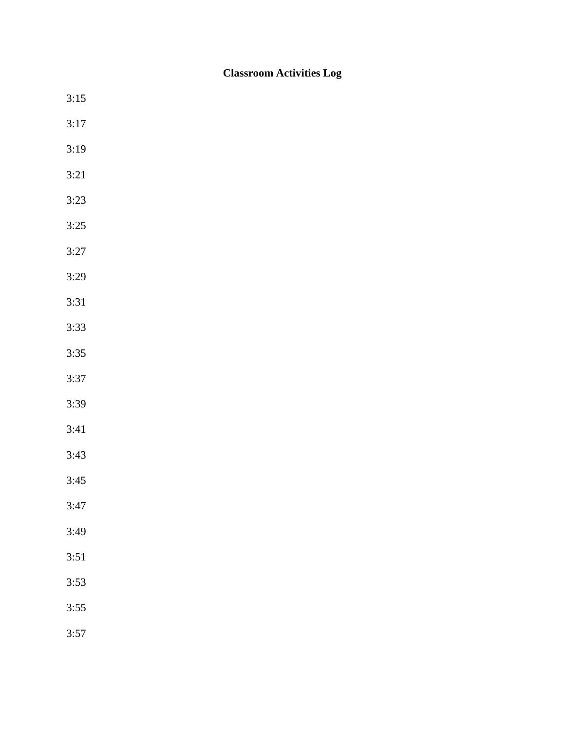# **Classroom Activities Log**

3:15 3:17 3:19 3:21 3:23 3:25 3:27 3:29 3:31 3:33 3:35 3:37 3:39 3:41 3:43 3:45 3:47 3:49 3:51 3:53 3:55 3:57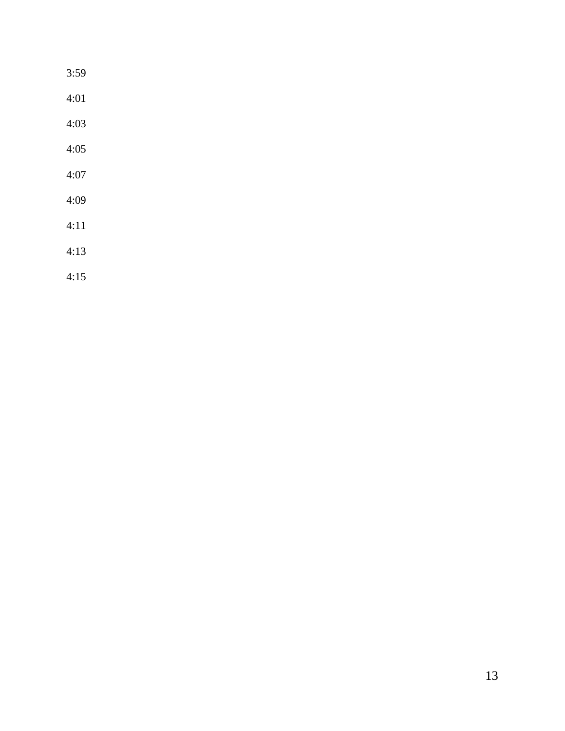| 3:59 |  |  |  |
|------|--|--|--|
| 4:01 |  |  |  |
| 4:03 |  |  |  |
| 4:05 |  |  |  |
| 4:07 |  |  |  |
| 4:09 |  |  |  |
| 4:11 |  |  |  |
| 4:13 |  |  |  |
| 4:15 |  |  |  |